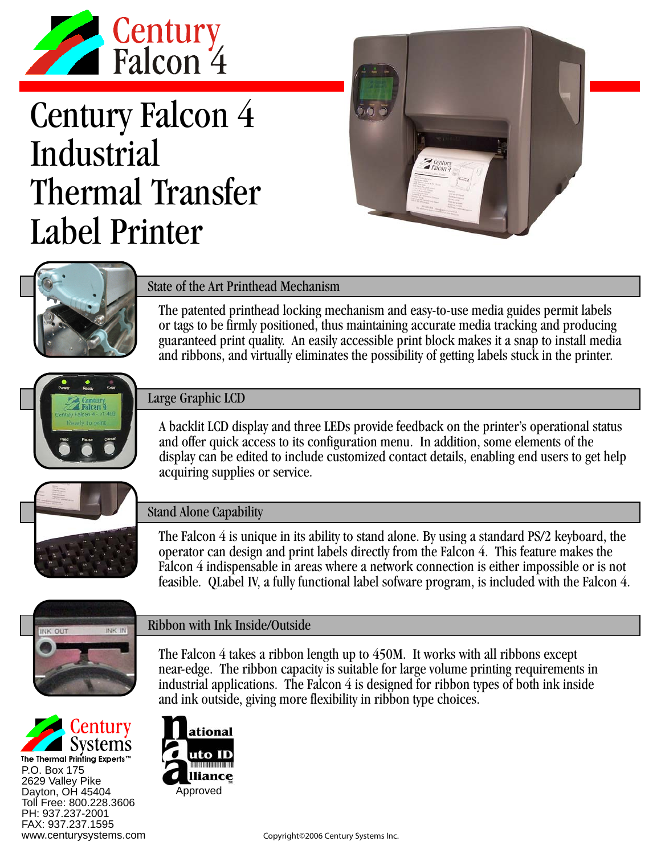

# Century Falcon 4 Industrial Thermal Transfer Label Printer





## State of the Art Printhead Mechanism

The patented printhead locking mechanism and easy-to-use media guides permit labels or tags to be firmly positioned, thus maintaining accurate media tracking and producing guaranteed print quality. An easily accessible print block makes it a snap to install media and ribbons, and virtually eliminates the possibility of getting labels stuck in the printer.



#### Large Graphic LCD

A backlit LCD display and three LEDs provide feedback on the printer's operational status and offer quick access to its configuration menu. In addition, some elements of the display can be edited to include customized contact details, enabling end users to get help acquiring supplies or service.



### Stand Alone Capability

The Falcon 4 is unique in its ability to stand alone. By using a standard PS/2 keyboard, the operator can design and print labels directly from the Falcon 4. This feature makes the Falcon 4 indispensable in areas where a network connection is either impossible or is not feasible. QLabel IV, a fully functional label sofware program, is included with the Falcon 4.



#### Ribbon with Ink Inside/Outside

The Falcon 4 takes a ribbon length up to 450M. It works with all ribbons except near-edge. The ribbon capacity is suitable for large volume printing requirements in industrial applications. The Falcon 4 is designed for ribbon types of both ink inside and ink outside, giving more flexibility in ribbon type choices.